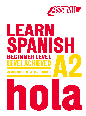

# EAR SPANISH BEGINNER LEVEL EL ACHIF

## INCLUDES 1 MP3 CD . 1<sup>1</sup>/2 HOURS

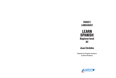## TARGET: **LANGUAGES**

## LEARN SPANISH Beginner level A2

## Juan Córdoba

Adapted for English speakers by Elise Bradbury

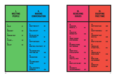| L<br><b>MEETING</b><br><b>PEOPLE</b> |    | II.<br><b>MAKING</b><br><b>CONVERSATION</b>        |     |
|--------------------------------------|----|----------------------------------------------------|-----|
| 1.<br><b>HELLO</b>                   | 21 | 6.<br><b>WHAT TIME IS IT?</b>                      | 65  |
| 2.<br><b>WHO AM1?</b>                | 29 | 7.<br><b>SHALL WE EAT?</b>                         | 73  |
| 3.<br><b>HOW ARE YOU?</b>            | 37 | 8.<br><b>DO YOU LIKE THE</b><br><b>APARTMENT?</b>  | 81  |
| 4.<br><b>PLEASE </b>                 | 45 | 9.<br><b>HAPPY BIRTHDAY!</b>                       | 89  |
| 5.<br><b>HELLO?</b>                  | 53 | 10 <sub>1</sub><br><b>WHAT WILL YOU STUDY? 97</b>  |     |
|                                      |    | 11.<br>I'M LOOKING FOR A<br><b>PART-TIME JOB</b>   | 105 |
|                                      |    | 12.<br><b>I'M AN INTERN</b>                        | 113 |
|                                      |    | 13.<br><b>I'VE COME ABOUT</b><br><b>THE AD</b>     | 121 |
|                                      |    | 14.<br><b>SHALL WE START A</b><br><b>BUSINESS?</b> | 129 |

| Ш.<br><b>RESOLVING</b><br><b>ISSUES</b>                |     | IV.<br><b>ENJOYING</b><br><b>FREE TIME</b>          |     |
|--------------------------------------------------------|-----|-----------------------------------------------------|-----|
| 15.<br><b>EXCUSE ME,</b><br><b>WHERE IS?</b>           | 141 | 23.<br><b>HAPPY NEW YEAR!</b>                       | 209 |
| 16.<br><b>I FAILED THE</b>                             |     | 24.<br><b>ENJOY YOUR MEAL!</b>                      | 217 |
| <b>DRIVING TEST</b>                                    | 149 | 25.<br><b>THIS DOESN'T SUIT</b>                     |     |
| 17.<br><b>I WANT TO MAKE</b><br><b>A WITHDRAWAL</b>    | 157 | <b>MEATALL</b><br>26.                               | 225 |
| 18.<br><b>MY MOBILE PHONE</b>                          |     | <b>WHAT'S THIS FOR?</b><br>27.                      | 233 |
| <b>ISN'T WORKING</b>                                   | 165 | <b>I WOULD LIKE</b><br><b>ATICKET FOR</b>           | 241 |
| 19.<br><b>I WANT TO FILE</b><br><b>A POLICE REPORT</b> | 173 | 28.<br><b>I WOULD LIKE TO</b><br><b>BOOK A ROOM</b> | 249 |
| 20.<br>DOCTOR,<br><b>I HURT ALL OVER</b>               | 181 | 29.<br><b>WHAT FILMS</b><br><b>ARE SHOWING?</b>     | 257 |
| 21.<br><b>WHO'S LAST IN LINE?</b>                      | 189 | 30.<br><b>HURRAY FOR</b>                            |     |
| 22.<br>I'M GOING TO<br><b>THE SUPERMARKET</b>          | 197 | <b>HOLIDAYS!</b>                                    | 265 |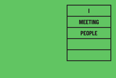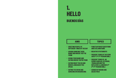## 1. HELLO BUENOS DÍAS

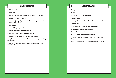## WHAT'S YOUR NAME?

- Hello, beautiful.
- Hello (good days).
- I'm Paco. And you, what's your name (how yourself you-call)?
- I'm Laura (myself I-call Laura).
- Laura, that['s a] pretty name ... And where are you from (of where you-are), Laura?
- I'm French (f.).
- French? But you speak Spanish very well!
- Yes, I speak French and also Spanish.
- How nice it is to speak [several] languages.
- I was born in Paris, but my mother is Spanish (f.).
- Ah, Paris, what [a] lovely city ... Tell me, Laura, are you studying or do you work?
- I work. I'm [a] teacher (f.). It's [a] nice profession, don't you think (true)?

## ¿CÓMO TE LLAMAS?

- Hola, guapa.
- Buenos días.
- Yo soy Paco. Y tú, ¿cómo te llamas?
- Me llamo Laura.
- Laura, qué bonito nombre... ¿Y de dónde eres, Laura?
- Soy francesa.
- ¿Francesa? Pero… ¡hablas muy bien español!
- Sí, hablo francés y también español.
- Qué bonito es hablar idiomas…
- Nací en París pero mi madre es española.
- Ah, París, qué bonita ciudad... Dime, Laura, ¿estudias o trabajas?
- Trabajo. Soy profesora. Qué bonita profesión, ¿verdad?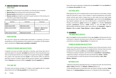## UNDERSTANDING THE DIALOGUE **GREETINGS**

- → **Hola** hello, hi can be used in any situation. It is informal, but not impolite.
- → **Buenos días** good morning can be used until around midday.
- → **Buenas tardes** good afternoon is used until sundown.
- → **Buenas noches** good night is used both to greet someone in the evening or to wish them a good night as they depart.

These basic greetings can be intensified or shortened depending on the context:

| Standard              | Intensified         | Shortened                                                       |
|-----------------------|---------------------|-----------------------------------------------------------------|
| :Hola!                |                     |                                                                 |
| ¡Hola, buenos días!   | ¡Muy buenos días!   |                                                                 |
| ¡Hola, buenas tardes! | ¡Muy buenas tardes! | ¡Buenas! or ¡Muy buenas!<br>(tardes or noches is<br>understood) |
| ¡Hola, buenas noches! | ¡Muy buenas noches! |                                                                 |

## **PUNCTUATION**

You may have noticed the double-ended punctuation in questions **¿...?** and in exclamations **¡...!** At the beginning of the question or exclamation, the punctuation mark is upside down. **Dime, Laura, ¿estudias o trabajas?**

## GENDER OF NOUNS (AND ADJECTIVES)

In Spanish, all nouns are either masculine or feminine, even those that refer to inanimate objects: for example, **la ciudad** city is feminine. This is important because other words that describe the noun change form to agree with its gender. So **bonito** nice, pretty in the masculine becomes **bonita** in the feminine. When an adjective describes a person, it needs to agree with the person's gender: Laura is **francesa** French (**frances** [m.]) and her mother is **española** Spanish (**español** [m.]) .

## 'YES' AND 'NO'

The basic terms are **sí** yes and **no** no. To make a verb negative, **no** not is simply placed before the verb: **No soy español.** I'm not Spanish (m.).

Some other ways of agreeing or disagreeing are **es verdad** it's true; **es mentira** it's a lie; **bueno, de acuerdo** fine, okay.

## CULTURAL NOTE

While Spanish has a form of address that is more formal (more on this later), in Spain today the informal is used in most contexts. To greet acquaintances and friends, women will kiss each other's cheeks (once on each side), and men might shake hands, pat each other's shoulders (**una palmada**) or give close friends **un abrazo** a hug. Spanish speakers also use a lot of affectionate or complimentary terms in friendly conversations: **guapo** handsome (or **guapa** for a female), **hermoso/a** beautiful, **precioso/a** precious, **cariño** darling or even **mi alma** my soul. Affectionately shortening names is also very common: e.g. **Francisco** → **Paco** (or **Pancho** in Mexico), **José** → **Pepe**, **Dolores** → **Lola** and **Ignacio** → **Nacho**.

## GRAMMAR THE INDEFINITE ARTICLE

**un** (m.) and **una** (f.) are the equivalents of a/an: **una ciudad** a city (because the noun is feminine). In Spanish, the plural some is often left out. Equally, there is no article used before a profession: **Soy profesor.** I'm a teacher (m.).

## FORMS OF NOUNS AND ADJECTIVES

• One rule for working out the gender of a Spanish noun is if the word ends in **-o** it is usually masculine, and if it ends in **-a** it is usually feminine. However, there are some exceptions! For example, **un día** day and **un idioma** language are masculine.

- Professions ending in **-or** add an **-a** in the feminine: **un profesor / una profesora**.
- Adjectives ending in **-o** replace this with **-a** in the feminine: **bonito / bonita**.
- For words ending in a vowel, the plural is formed by adding **-s**: **día / días**; **idioma / idiomas**.

## NATIONALITIES

• Adjectives describing nationality that end in **-o** replace this with **-a** in the feminine: **chino / china** Chinese (m./f.); **italiano / italiana** Italian (m./f.).

• If the nationality ends in a vowel other than **-o** it doesn't change for gender: **belga** Belgian (m./f.); **estadounidense** American (m./f.), literally from the United States.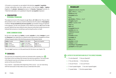• If it ends in a consonant, an **-a** is added in the feminine: **español / española**. • Certain nationalities lose their written accent in the feminine: **inglés** / **inglesa** English (m./f.); **alemán** / **alemana**German (m./f.); **francés** / **francesa** French (m./f.). • Note that nationality is not capitalized in Spanish: **un español** a Spaniard.

## CONJUGATION PERSONAL PRONOUNS

The subject pronouns in the singular are: **yo** I, **tú** you, **él / ella** he/she. They are often left out before a verb, unless you need to emphasize who the subject is: **Soy inglesa.** I'm British. **Yo soy canadiense y tú eres español.** I'm Canadian and you are Spanish. In the dialogue, we also see examples of the reflexive pronouns **me** *myself* and **te** yourself. Spanish has many reflexive verbs: these are verbs that include a pronoun to indicate that someone or something is performing the action on itself.

## SOME COMMON VERBS

So far we've seen **ser** to be; **hablar** to speak; **estudiar** to study; **trabajar** to work and **llamarse** to be called (this is a reflexive verb). Here are the conjugations of three of these frequent verbs in the first three persons of the present tense.

| $\vert$ hablar to speak            | Ilamarse to be called        | ser to be (irregular) |
|------------------------------------|------------------------------|-----------------------|
| $\vert$ hablo <i>l</i> speak       | me llamo / am called         | sov / am              |
| $\int$ hablas you speak            | te llamas you are called     | eres you are          |
| $\vert$ habla <i>he/she speaks</i> | se llama he/she/it is called | es he/she/it is       |

The verb **nací** I was born, is in the past tense (for this tense, see chapter 19).

## **EXERCISES**

The exercises accompanied by audio are indicated with a speaker icon. First listen to the recording, then answer the exercise questions. The transcripts of the Spanish exercise recordings can be found in the 'Exercise answers' section at the end of the book.

If you need to – especially at the beginning of the course – you can read along with the transcripts to help make sure you understand the audio.

## VOCABULARY

**guapo/a** handsome, beautiful **iqué...!** What a ....! How ...! **bonito/a** pretty **el nombre** name **y** and **¿de dónde…?** Where ... from? **el inglés** English **hablar** to speak, to talk **muy** very **bien** well **el español** Spanish **también** also, too **el idioma** language **pero** but **la madre** mother **la ciudad** city **dime** tell me **estudiar** to study **trabajar** to work **el profesor / la profesora** teacher **¿verdad?** Isn't that right?

## 1. LISTEN TO THE SENTENCES AND SELECT THE CORRECT MEANING.

- a.  $\Box$  Is she Spanish?  $\Box$  Are you Spanish? 03
	- $b. \Box$  You are German.  $\Box$  He is German.
	- c.  $\Box$  I (f.) am French.  $\Box$  I (m.) am French.
	- d.  $\Box$  I don't speak English.  $\Box$  You don't speak English.
	- e.  $\Box$  I speak Italian.  $\Box$  He/she speaks Italian.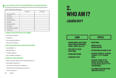## **2. TRUE OR FALSE? LISTEN TO THE RECORDING AND TICK VERDAD OR MENTIRA.**

03 The transcripts of the exercise dialogues can be found in the 'Exercise answers'

#### section at the back of the book.

|                            | verdad (V) | mentira (M) |
|----------------------------|------------|-------------|
| a. Ella se llama Lola.     |            |             |
| b. Es inglesa.             |            |             |
| c. Es francesa.            |            |             |
| d. Él se llama Pedro.      |            |             |
| e. Es inglés.              |            |             |
| Es de Nueva York.          |            |             |
| Es español.<br>g.          |            |             |
| h. Es profesor de español. |            |             |
| Habla chino.               |            |             |

## 3. REWRITE THESE SENTENCES IN THE FEMININE.

- a. El profesor es guapo. →
- b. Es alemán. →
- c. No soy estadounidense. →
- d. ¿Eres chino o belga? →

## 4. ASK THE QUESTION THAT GOES WITH EACH RESPONSE.

- a. Soy de Madrid. →
- b. Me llamo Pepe. →
- c. Sí, hablo español. →
- d. No, no trabajo en España. →

#### 5. TRANSLATE THESE SENTENCES.

- a. Hello, my name is Pedro and I'm a Spanish teacher. →
- b. Good night, beautiful (f.). →
- c. I (f.) was born in Paris, but I'm Spanish. →
- d. I speak French and also German very well. →
- e. I'm Lola, and you? →
- 28 **1** Hello

## 2. WHO AM I? ¿QUIÉN SOY?

## AIMS TOPICS • ASKING SIMPLE QUESTIONS ABOUT ORIGIN, RESIDENCE, FAMILY, WORK, AGE, ETC. • REPLYING TO THESE **QUESTIONS** • GIVING ONE'S NAME • COUNTING TO 100 • QUESTIONS • WORD STRESS / **ACCENTUATION** • INTRODUCING SER AND ESTAR • PRESENT TENSE OF -IR VERBS (VIVIR) (1ST 2ND 3RD PERSON SING.) • PRESENT TENSE OF THE IRREGULAR VERBS TENER, ESTAR, HACER, VER (1ST 2ND 3RD PERSON SING.)

• THE SINGULAR DEFINITE AND INDEFINITE ARTICLE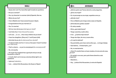#### RIDDLE

- Guess who I am! You have [the] right to [ask] six questions.
- Are you a woman?
- Yes, my character is a woman: [she's] Spanish, like me.
- Where do you live?
- I live in Madrid, but I have several houses in Spain.
- Congratulations! Are you married (f.)?
- Yes, I'm married.
- Tell me, how old are you (what age you-have)?
- I am forty-four (I-have forty and four years).
- Let's see … (to see…) How many children do you have?
- I have two daughters, [they are] 11 and 9 years [old}.
- And what do you do (to what youself you-devote)?
- I'm [a] journalist, but for (it-makes) a few years I haven't worked (not I-have work).
- That's a shame … so you're unemployed (the unemployment)?
- No, not exactly.

– Of couse! Your husband has a good job and you are [a] housewife, is that it?

– In truth, that's not it, but you only have [the] right to six questions!

- $-$  I give up (*I*-abandon)...
- I am … Letizia Ortiz Rocasolano, the Queen of Spain!

## **004**

## ADIVINANZA

- ¡Adivina quién soy! Tienes derecho a seis preguntas.
- ¿Eres una mujer?
- Sí, mi personaje es una mujer, española como yo.
- ¿Dónde vives?
- Vivo en Madrid, pero tengo varias casas en España.
- ¡Enhorabuena! ¿Estás casada?
- Sí, estoy casada.
- Dime, ¿qué edad tienes?
- Tengo cuarenta y cuatro años.
- A ver… ¿Cuántos hijos tienes?
- Tengo dos hijas, de once y nueve años.
- $\lambda$ Y a qué te dedicas?
- Soy periodista, pero hace varios años que… no tengo trabajo.
- Qué lástima… El desempleo, ¿no?
- No, no exactamente.

– ¡Claro! Tu marido tiene un buen empleo y tú eres ama de casa, ¿es eso?

- En verdad, no es eso, pero ¡solo tienes derecho a seis preguntas!
- Abandono…
- Soy… ¡Letizia Ortiz Rocasolano, la reina de España!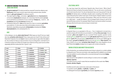## UNDERSTANDING THE DIALOGUE JOBS AND WORK

- → **¿A qué te dedicas?** ('To what yourself you-devote?') (note the reflexive verb **dedicarse**) is the most common way to ask what someone does. Another option is **¿En qué trabajas?** ('In what you-work?').
- → The reply might be: **Soy...** I am (a/an)... **agricultor/a** farmer; **funcionario/a** civil servant; **empleado/a** employee, etc. (remember that the article **un/una** is not used before a profession). Or you could say: **Trabajo en…** I work in … **la enseñanza** teaching; **el comercio** business, etc.
- → Professions that end in **-ista** are the same for a man or a woman: **periodista** a journalist (m./f.). And note a term that unfortunately concerns a lot of Spaniards, especially young people: **el desempleo** unemployment: **Estoy desempleado/a.** I am unemployed (m./f.).

## AGE

In the dialogue, we see **¿Qué edad tienes?** ('What age you-have?') but you might also hear **¿Cuántos años tienes?** ('How-many years you-have?') How old are you? Note that in Spanish, the verb **tener**to have is used to give an age rather than **ser** to be. The numbers to help you reply are below. If you're writing them, note that from 0 to 29, the numbers are written as a single word, while from 30 up, each word is written separately with the construction ten  $+$ **y** and  $+$  unit.

| 0 <sub>cero</sub> | $10$ diez     | 20 veinte       | 30 treinta       |
|-------------------|---------------|-----------------|------------------|
| 1 uno             | 11 once       | 21 veintiuno    | 31 treinta y uno |
| $2$ dos           | 12 doce       | 22 veintidós    | 32 treinta y dos |
| 3 tres            | 13 trece      | 23 veintitrés   | 40 cuarenta      |
| 4 cuatro          | 14 catorce    | 24 veinticuatro | 50 cincuenta     |
| 5 cinco           | 15 quince     | 25 veinticinco  | 60 sesenta       |
| 6 seis            | 16 dieciséis  | 26 veintiséis   | 70 setenta       |
| 7 siete           | 17 diecisiete | 27 veintisiete  | 80 ochenta       |
| 8 ocho            | 18 dieciocho  | 28 veintiocho   | 90 noventa       |
| 9 nueve           | 19 diecinueve | 29 veintinueve  | $100$ cien       |

## CULTURAL NOTE

You may have heard the well-known Spanish joke: Knock knock. 'Who's there?' 'Antonio de Todos los Santos Fernandez Gutierrez.' 'You can all come in, but the last one should close the door!'. So why do Spaniards have such long names? In fact, **el**  apellido the family name, is officially a double name consisting of the father's last name followed by the mother's last name. So the Queen of Spain's father's surname is Ortiz and her mother's surname is Rocasolano. Often only one of the two is used on a daily basis – usually the father's, but not always! Some choose to opt for the second if it is less common. For example, Pablo Picasso went by his mother's surname (Picasso). But his full name is far too long to include here!

## GRAMMAR ASKING QUESTIONS

In Spanish there is no equivalent of Do you ...? etc. A statement is turned into a question simply with intonation (or punctuation in writing): **Eres una mujer.** You are a woman. **¿Eres una mujer?** Are you a woman? Some specific question words include: **¿Dónde vives?** Where do you live? **¿De dónde eres?** Where are you from? **¿Quién eres?** Who are you? **¿Qué edad tienes?** How old are you? ('What age do you have?') **¿A qué te dedicas?** What do you do? **¿Cuántos hijos tienes?** How many children do you have? **¿Cuántas hijas tienes?** How many daughters do you have? Note that **cuánto** changes form to agree with number and gender.

## WORD STRESS AND WRITTEN ACCENTS

In the introduction, we mentioned that the word stress is placed on a certain syllable in a Spanish word. There are some basic rules regarding which syllable to accentuate: • the last syllable in words ending with a consonant (except for **n** and **s**): **hablar**, **español**, **ciudad**.

• the second-to-last syllable for words ending in a vowel, an **n** or an **s**: **reina**, **idiomas**, **Carmen**.

• A written accent is used in cases that are exceptions to the usual rules: **París**, **francés**, **alemán**, **Ángela**.

A written accent is also used in two cases seen in this lesson:

- in question words: **¿Quién…? ¿Dónde…? ¿Qué…?**
- to distinguish homonyms: **tu marido** your husband; **tú eres** you are.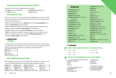## THE SINGULAR INDEFINITE AND DEFINITE ARTICLE

Note the four forms of the singular articles a/an and the:

**un empleo** a job, an employment **una mujer** a woman

**el empleado** the employee (m.) **la reina** the queen

## TWO VERBS FOR 'TO BE'

There are two verbs for to be in Spanish: **ser** and **estar**. We'll go into more detail about the usage differences between these verbs in later lessons; for the moment, let's look at some basic rules.

• **ser** is always used before a noun: **Soy Paco.** I am Paco. **Es una pregunta.** It's a question. **Es periodista.** She is a journalist.

• **ser** is used before an adjective to describe essential, inherent characteristics, for example, someone's nationality: **Soy español.** I (m.) am Spanish.

**• ser de** is used to express origin: **Eres de Sevilla.** You are from Seville.

**• estar** is used before an adjective to express someone's current state in time or space or a condition bound by circumstances: **Estoy desempleado.** I'm (m.) unemployed. **Estoy casada.** I'm (f.) married.

## A CONJUGATION -IR VERBS

In the last lesson, we saw some examples of infinitives that end in **-ar**. The regular verbs in this group all conjugate in the same way. Another group of infinitives end in **-ir**. Here is the singular present tense conjugation of regular **-ir** verbs:

| <b>vivir</b> to live        |  |
|-----------------------------|--|
| vivo <i>Hive</i>            |  |
| vives you live              |  |
| <b>vive</b> he/she/it lives |  |

## SOME COMMON IRREGULAR VERBS

Unfortunately, there are a number of irregular verbs in Spanish, and some are very common. At least seeing them a lot will help you get used to them quickly!

| estar to be       | tener to have                    | hacer to do/make                 | ver to see               |
|-------------------|----------------------------------|----------------------------------|--------------------------|
| estoy l am        | tengo <i>I have</i>              | hago / do/make                   | $veo$ / see              |
| estás you are     | tienes you have                  | haces you do/make                | ves you see              |
| está he/she/it is | $\mathsf{l}$ tiene he/she/it has | <b>hace</b> he/she/it does/makes | <b>ve</b> he/she/it sees |

## **VOCABULARY**

**la adivinanza** riddle **adivinar** to guess **¿quién?** Who? **¿qué?** What? Which? **¿cuánto/a/os/as?** How many? How much? **el derecho** right **la pregunta** question **el personaje** character **la mujer** woman, wife **el marido** husband **como** like, as **vivir** to live **tener** to have **varios, varias** several, some **la casa** house, home **¡Enhorabuena!** Congratulations! **estar** to be

**casado/a** married (m./f.) **la edad** age **el año** year **a ver…** let's see … **ver** to see **el hijo** child, son **la hija** daughter **dedicarse a** to work as **el/la periodista** journalist **hacer** to do, to make **el trabajo** work, job **el empleo** employment, job **el desempleo** unemployment **la lástima** pity, shame **exactamente** exactly **claro** (adv.) of course, certainly **eso** that **solo** only **abandonar** to abandon, to give up **la reina** queen

## EXERCISES

 $\sqrt{2}$ 

|                              | <b>1</b> 1. LISTEN TO THE RECORDING AND SELECT THE NUMBER YOU HEAR. |                       |  |
|------------------------------|---------------------------------------------------------------------|-----------------------|--|
| $4^4$ a. $\Box$ 33 $\Box$ 36 |                                                                     | d $\Box$ 2 $\Box$ 12  |  |
| $h \Box 6$ $\Box 10$         |                                                                     | e $\Box$ 18 $\Box$ 80 |  |
| c. □ 61 □ 71                 |                                                                     |                       |  |

## 2. LISTEN TO THE RECORDING AND SELECT THE RIGHT ANSWER.

04 a. La mujer que habla se llama Carmen c. Carmen tiene... y el hombre se llama…  $\Box$  Paco  $\Box$  Luis Antonio

 $\Box$  dos hijos  $\Box$  tres hijos  $\Box$  cuatro hijos

d. El marido de Carmen…  $\square$  es profesor de español  $\square$  es profesor de inglés  $\square$  está desempleado

b. El apellido del hombre es…  $\Box$  Fernández Ruiz Ruiz Ortiz Fernández Ortiz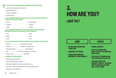## **4. 2. 2. LISTEN TO THE RECORDING AGAIN AND ANSWER THESE QUESTIONS.**

- 04 a. ¿Cómo se llama la hija del hombre? →
	- b. ¿Qué edad tiene? →
	- c. ¿A qué se dedica? →
	- d. ¿Dónde vive? →

#### 4.THE FOLLOWING WORDS FOLLOW THE RULES OF ACCENTUATION: UNDERLINE THE SYLLABLE THAT IS STRESSED.

a. Brasil

d. Buenos Aires

b. Ecuador

e. voleibol

c. Cuba

f. Beatriz

#### 5. THE FOLLOWING WORDS DON'T FOLLOW THE RULES OF ACCENTUATION: ADD A WRITTEN ACCENT TO THE VOWEL THAT IS STRESSED.

- a. cafe
- b. futbol

d. dolar e. balon

c. menu

## f. Peru

## 6.FILL IN EACH SENTENCE WITH THE CORRECT CONJUGATION OF SER OR ESTAR.

- a. Madrid ................................. una ciudad muy bonita.
- b. Felipe VI ................................. casado con Letizia Ortiz.
- c. No tengo trabajo: ................................. desempleado.
- d. No ................................. funcionario: trabajo en el comercio.
- e. Dime, Laura, ¿ ................................. de Sevilla?

#### 7.TRANSLATE THE FOLLOWING.

- a. What does your wife do?  $\rightarrow$
- b. How old is the Queen of Spain? →
- c. She lives in Madrid but she has several homes. →
- d. Let's see ... How many questions do I have the right to ask?  $\rightarrow$
- e. Guess who my husband is. →

## 3. HOW ARE YOU? ¿QUÉ TAL?

- SAYING AND ASKING HOW THINGS ARE
- SHOWING POLITENESS
- ADDRESSING SOMEONE INFORMALLY AND FORMALLY

## AIMS TOPICS

- FORMAL ADDRESS
- ARTICLES, NOUNS AND ADJECTIVES IN THE SINGULAR AND PLURAL
- THE SUBJECT PRONOUN AND THE POSSESSIVE ADJECTIVE
- CONJUGATION IN THE PRESENT TENSE OF -AR VERBS **AND THE IRREGULAR VERBS** SER, ESTAR, TENER